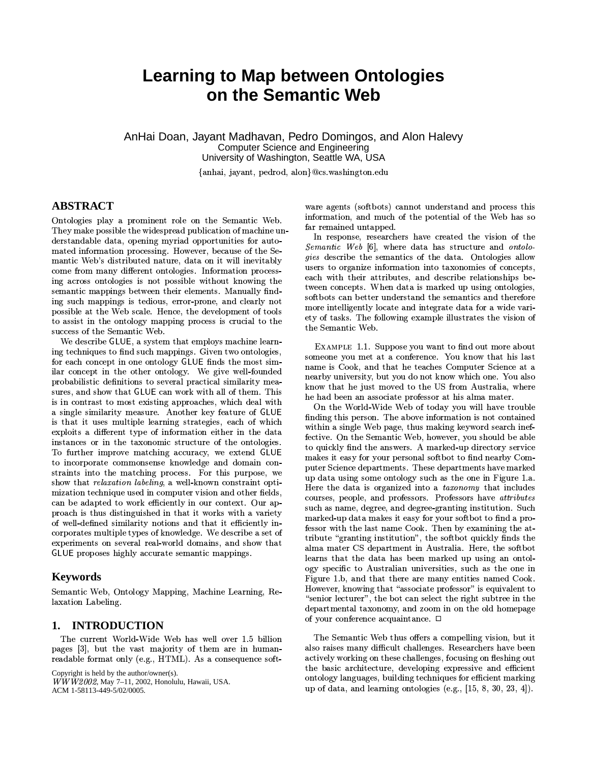# **Learning to Map between Ontologies** on the Semantic Web

AnHai Doan, Jayant Madhavan, Pedro Domingos, and Alon Halevy Computer Science and Engineering University of Washington, Seattle WA, USA

{anhai, jayant, pedrod, alon}@cs.washington.edu

# **ABSTRACT**

Ontologies play a prominent role on the Semantic Web. They make possible the widespread publication of machine understandable data, opening myriad opportunities for automated information processing. However, because of the Semantic Web's distributed nature, data on it will inevitably come from many different ontologies. Information processing across ontologies is not possible without knowing the semantic mappings between their elements. Manually finding such mappings is tedious, error-prone, and clearly not possible at the Web scale. Hence, the development of tools to assist in the ontology mapping process is crucial to the success of the Semantic Web.

We describe GLUE, a system that employs machine learning techniques to find such mappings. Given two ontologies, for each concept in one ontology GLUE finds the most similar concept in the other ontology. We give well-founded probabilistic definitions to several practical similarity measures, and show that GLUE can work with all of them. This is in contrast to most existing approaches, which deal with a single similarity measure. Another key feature of GLUE is that it uses multiple learning strategies, each of which exploits a different type of information either in the data instances or in the taxonomic structure of the ontologies. To further improve matching accuracy, we extend GLUE to incorporate commonsense knowledge and domain constraints into the matching process. For this purpose, we show that *relaxation labeling*, a well-known constraint optimization technique used in computer vision and other fields, can be adapted to work efficiently in our context. Our approach is thus distinguished in that it works with a variety of well-defined similarity notions and that it efficiently incorporates multiple types of knowledge. We describe a set of experiments on several real-world domains, and show that GLUE proposes highly accurate semantic mappings.

# **Keywords**

Semantic Web, Ontology Mapping, Machine Learning, Relaxation Labeling.

### 1. INTRODUCTION

The current World-Wide Web has well over 1.5 billion pages [3], but the vast majority of them are in humanreadable format only (e.g., HTML). As a consequence soft-

Copyright is held by the author/owner(s).  $\hat{WWW}$ 2002, May 7-11, 2002, Honolulu, Hawaii, USA. ACM 1-58113-449-5/02/0005.

ware agents (softbots) cannot understand and process this information, and much of the potential of the Web has so far remained untapped.

In response, researchers have created the vision of the Semantic Web [6], where data has structure and ontologies describe the semantics of the data. Ontologies allow users to organize information into taxonomies of concepts, each with their attributes, and describe relationships between concepts. When data is marked up using ontologies, softbots can better understand the semantics and therefore more intelligently locate and integrate data for a wide variety of tasks. The following example illustrates the vision of the Semantic Web.

EXAMPLE 1.1. Suppose you want to find out more about someone you met at a conference. You know that his last name is Cook, and that he teaches Computer Science at a nearby university, but you do not know which one. You also know that he just moved to the US from Australia, where he had been an associate professor at his alma mater.

On the World-Wide Web of today you will have trouble finding this person. The above information is not contained within a single Web page, thus making keyword search ineffective. On the Semantic Web, however, you should be able to quickly find the answers. A marked-up directory service makes it easy for your personal softbot to find nearby Computer Science departments. These departments have marked up data using some ontology such as the one in Figure 1.a. Here the data is organized into a taxonomy that includes courses, people, and professors. Professors have attributes such as name, degree, and degree-granting institution. Such marked-up data makes it easy for your softbot to find a professor with the last name Cook. Then by examining the attribute "granting institution", the softbot quickly finds the alma mater CS department in Australia. Here, the softbot learns that the data has been marked up using an ontology specific to Australian universities, such as the one in Figure 1.b, and that there are many entities named Cook. However, knowing that "associate professor" is equivalent to "senior lecturer", the bot can select the right subtree in the departmental taxonomy, and zoom in on the old homepage of your conference acquaintance.  $\square$ 

The Semantic Web thus offers a compelling vision, but it also raises many difficult challenges. Researchers have been actively working on these challenges, focusing on fleshing out the basic architecture, developing expressive and efficient ontology languages, building techniques for efficient marking up of data, and learning ontologies (e.g.,  $[15, 8, 30, 23, 4]$ ).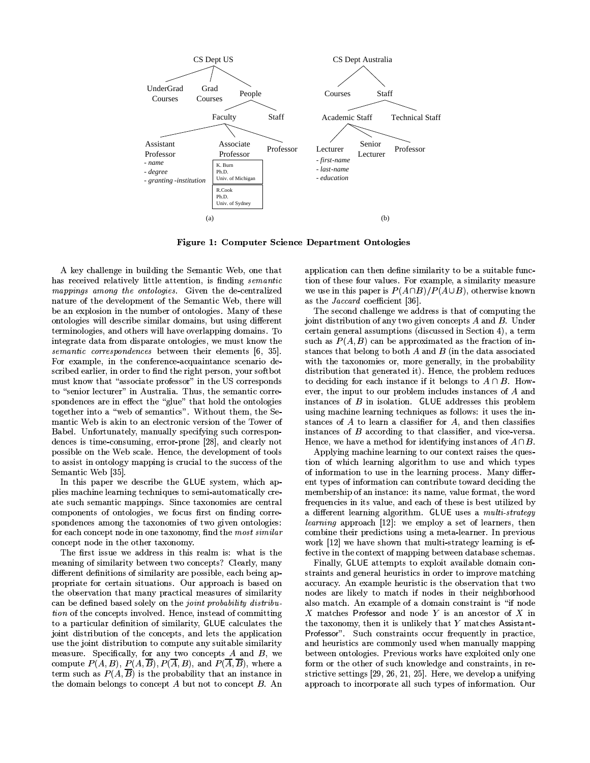

Figure 1: Computer Science Department Ontologies

 $\sim$  . At the set of the set of the set of the set of the set of the set of the set of the set of the set of the set of the set of the set of the set of the set of the set of the set of the set of the set of the set of th 30/1/M Q-20/2/M Q-20/2/M Q-20/2/M Q-20/2/M Q-20/2/M Q-20/2/M Q-20/2/M Q-20/2/M Q-20/2/M Q-20/2/M Q-20/2/M Q-20 -+,L-Hp+LUA'2ZjHD+e729-M#\$:V=> +f(FY  $\blacksquare$  . The state of the state of the state of the state of the state of the state of the state of the state of the state of the state of the state of the state of the state of the state of the state of the state of the +'23. \*-%' L-++%E(FYY U ) UA
.\*T 29 %'& NA&B 'n R38+22-A-RJ-R 3/4-A-RJ-R 3/4-A-RJ-R 5='C(mu+'K') in R38+A-RJ-R 5='C(mu+'K') in R38+A-RJ-R 5='C(mu+'K) 5='&GªTHP
+, +'Y ]29, YQ%
#RYHM\*b%
,#+/#' %
I . In the case of the case of the case of the case of the case of the case of the case of the case of the case of Semantic Web [35].

^\_t+M%ZZ()4%#'
=K+;kmlnmot%C%C+2K m(gM#+-I Y.%c29#Jm-\*T+#J.r,%i+f%
'23I\_-,+ 29 .#-YYL#''I ,  $Z_{\rm 29}$  ,  $Z_{\rm 29}$  ,  $Z_{\rm 29}$  ,  $Z_{\rm 20}$  ,  $Z_{\rm 20}$  ,  $Z_{\rm 20}$  ,  $Z_{\rm 20}$  ,  $Z_{\rm 20}$ #R 2Z J%3Hf+ \*-.%' X(mhHP#',%9a+%C9 va.\*V#R 'I %
#'%f2Z \*Z+LJ w 23%THpC(mb\*-.U ;+ \*-.%6 HM B#JN#'#''ED.GcJ-w 2L aT+j3 +> +PLY} concept node in the other taxonomy.

,O()K + . C()K + . C()K + . C()K + . C()K + . C()K + . C()K + . C()K + . C()K + . C()K + . C()K + . C()K + . C()K + . C()K + . C()K + . C()K + . C()K + . C()K + . C()K + . C()K + . C()K + . C()K + . C()K + . C()K + . C()K 2Z\*L-HB%C23YM-YCO='C(mOC()L#'#'J%874©p.
Y 29 , and the second contract of the second contract of the second contract of the second contract of the second contract of the second contract of the second contract of the second contract of the second contract of the secon can be defined based solely on the joint probability distribu-2Z %
,&17#RYa#'-YY mHP9dC(m<#'#''J%>= @?Z p(m the contract of the contract of the contract of the contract of the contract of the contract of the contract of the contract of the contract of the contract of the contract of the contract of the contract of the contract o , the state of the state of the state of the state of the state of the state of the state of the state of the s +\$ 29-9=' \*A%m+L#' #'-=u=,mm+e#'#''-?Z&DxX

, as a construction of the construction of the construction of the construction of the construction of the construction of the construction of the construction of the construction of the construction of the construction o %)+)NA+J-}E4K#'R9#RL-&

. A strategies are the strategies of the strategies of the strategies of the strategies of the strategies of the strategies of the strategies of the strategies of the strategies of the strategies of the strategies of the s . He has been a strong particle in the strong particle in the strong particle in the strong particle in the strong particle in the strong particle in the strong particle in the strong particle in the strong particle in the ?X%
#'9#+-Y\* T(mT%%p.%D+ )-HE#'2Z,.\*\$+ C-pM%C+
=, LH]-f\_()\$\*-UAL#' #'J%O=8P?Z&BªT %
,#+Q%MA33=CE?Lg#'Q=Gw29-+b %F+\$HP+#R 4HBI . The contract of the contract of the contract of the contract of the contract of the contract of the contract of the contract of the contract of the contract of the contract of the contract of the contract of the contract .%C+
=, 9+-g\*'+-+ZYRR&cST#' +X =2 ,#'%  $\mathcal{L}=\mathcal{L}=\mathcal{L}=\mathcal{L}=\mathcal{L}=\mathcal{L}=\mathcal{L}=\mathcal{L}=\mathcal{L}=\mathcal{L}=\mathcal{L}=\mathcal{L}=\mathcal{L}=\mathcal{L}=\mathcal{L}=\mathcal{L}=\mathcal{L}=\mathcal{L}=\mathcal{L}=\mathcal{L}=\mathcal{L}=\mathcal{L}=\mathcal{L}=\mathcal{L}=\mathcal{L}=\mathcal{L}=\mathcal{L}=\mathcal{L}=\mathcal{L}=\mathcal{L}=\mathcal{L}=\mathcal{L}=\mathcal{L}=\mathcal{L}=\mathcal{L}=\mathcal{L}=\mathcal{$ ua termina de la construcción de la construcción de la construcción de la construcción de la construcción de l , which is the state of the state of the state of the state of the state of the state of the state of the state of the state of the state of the state of the state of the state of the state of the state of the state of the

Applying machine learning to our context raises the question of which learning algorithm to use and which types hard the second control of the second control of the second control of the second control of the second control of the second control of the second control of the second control of the second control of the second control matrix of the contract of the OH 29 bit of the OH 29 bit of the OH 29 bit of the OH 29 bit of the OH 29 bit of termine and the state of the state of the state of the state of the state of the state of the state of the state of HPr,#J.%pOYJ%)U-, -Z#JOH>+%
jM%p=%CF,YYO=  $\blacksquare$  . The contract of the contract of the contract of the contract of the contract of the contract of the contract of the contract of the contract of the contract of the contract of the contract of the contract of the  $\overline{J}$  , and the state of the state of the state of the state of the state of the state of the state of the state of the state of the state of the state of the state of the state of the state of the state of the state of combine their predictions using a meta-learner. In previous  $\blacksquare$  . The contract of the contract of the contract of the contract of the contract of the contract of the contract of the contract of the contract of the contract of the contract of the contract of the contract of the . He see that the term of the term of the term of the term of the term of the term of the term of the term of the term of the term of the term of the term of the term of the term of the term of the term of the term of the

accuracy. An example heuristic is the observation that two The second contract of the second contract of the second contract of the second contract of the second contract of the second contract of the second contract of the second contract of the second contract of the second cont . However, the contract of the contract of the contract of the contract of the contract of the contract of the %C+
.#RUA)%
R.\*A%)·Kk A· A· · &cST' ())UA'Lg,YHM\* #+K+3.#' +-+L-Yc%
,#Jh\_%FHcHP29- & -,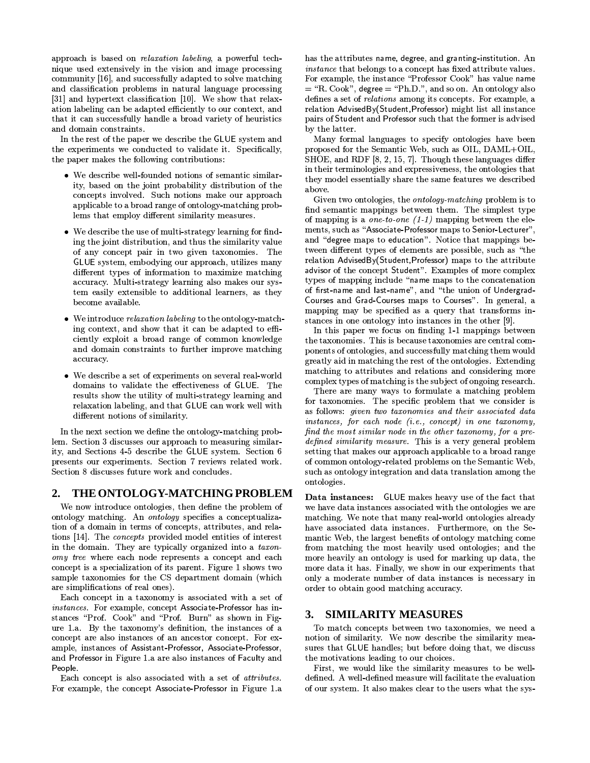approach is based on *relaxation labeling*, a powerful technique used extensively in the vision and image processing community [16], and successfully adapted to solve matching and classification problems in natural language processing [31] and hypertext classification [10]. We show that relaxation labeling can be adapted efficiently to our context, and that it can successfully handle a broad variety of heuristics and domain constraints.

In the rest of the paper we describe the GLUE system and the experiments we conducted to validate it. Specifically, the paper makes the following contributions:

- . We describe well-founded notions of semantic similarity, based on the joint probability distribution of the concepts involved. Such notions make our approach applicable to a broad range of ontology-matching problems that employ different similarity measures.
- We describe the use of multi-strategy learning for finding the joint distribution, and thus the similarity value of any concept pair in two given taxonomies. The GLUE system, embodying our approach, utilizes many different types of information to maximize matching accuracy. Multi-strategy learning also makes our system easily extensible to additional learners, as they become available.
- . We introduce *relaxation labeling* to the ontology-matching context, and show that it can be adapted to efficiently exploit a broad range of common knowledge and domain constraints to further improve matching accuracy.
- We describe a set of experiments on several real-world domains to validate the effectiveness of GLUE. The results show the utility of multi-strategy learning and relaxation labeling, and that GLUE can work well with different notions of similarity.

In the next section we define the ontology-matching problem. Section 3 discusses our approach to measuring similarity, and Sections 4-5 describe the GLUE system. Section 6 presents our experiments. Section 7 reviews related work. Section 8 discusses future work and concludes.

### $2.$ THE ONTOLOGY-MATCHING PROBLEM

We now introduce ontologies, then define the problem of ontology matching. An ontology specifies a conceptualization of a domain in terms of concepts, attributes, and relations [14]. The *concepts* provided model entities of interest in the domain. They are typically organized into a taxonomy tree where each node represents a concept and each concept is a specialization of its parent. Figure 1 shows two sample taxonomies for the CS department domain (which are simplifications of real ones).

Each concept in a taxonomy is associated with a set of instances. For example, concept Associate-Professor has instances "Prof. Cook" and "Prof. Burn" as shown in Figure 1.a. By the taxonomy's definition, the instances of a concept are also instances of an ancestor concept. For example, instances of Assistant-Professor, Associate-Professor, and Professor in Figure 1.a are also instances of Faculty and People.

Each concept is also associated with a set of attributes. For example, the concept Associate-Professor in Figure 1.a has the attributes name, degree, and granting-institution. An *instance* that belongs to a concept has fixed attribute values. For example, the instance "Professor Cook" has value name  $=$  "R. Cook", degree  $=$  "Ph.D.", and so on. An ontology also defines a set of *relations* among its concepts. For example, a relation AdvisedBy(Student, Professor) might list all instance pairs of Student and Professor such that the former is advised by the latter.

Many formal languages to specify ontologies have been proposed for the Semantic Web, such as OIL, DAML+OIL, SHOE, and RDF [8, 2, 15, 7]. Though these languages differ in their terminologies and expressiveness, the ontologies that they model essentially share the same features we described above.

Given two ontologies, the ontology-matching problem is to find semantic mappings between them. The simplest type of mapping is a *one-to-one*  $(1-1)$  mapping between the elements, such as "Associate-Professor maps to Senior-Lecturer", and "degree maps to education". Notice that mappings between different types of elements are possible, such as "the relation Advised By(Student, Professor) maps to the attribute advisor of the concept Student". Examples of more complex types of mapping include "name maps to the concatenation of first-name and last-name", and "the union of Undergrad-Courses and Grad-Courses maps to Courses". In general, a mapping may be specified as a query that transforms instances in one ontology into instances in the other [9].

In this paper we focus on finding 1-1 mappings between the taxonomies. This is because taxonomies are central components of ontologies, and successfully matching them would greatly aid in matching the rest of the ontologies. Extending matching to attributes and relations and considering more complex types of matching is the subject of ongoing research.

There are many ways to formulate a matching problem for taxonomies. The specific problem that we consider is as follows: given two taxonomies and their associated data instances, for each node (i.e., concept) in one taxonomy, find the most similar node in the other taxonomy, for a predefined similarity measure. This is a very general problem setting that makes our approach applicable to a broad range of common ontology-related problems on the Semantic Web, such as ontology integration and data translation among the ontologies.

Data instances: GLUE makes heavy use of the fact that we have data instances associated with the ontologies we are matching. We note that many real-world ontologies already have associated data instances. Furthermore, on the Semantic Web, the largest benefits of ontology matching come from matching the most heavily used ontologies; and the more heavily an ontology is used for marking up data, the more data it has. Finally, we show in our experiments that only a moderate number of data instances is necessary in order to obtain good matching accuracy.

### 3. SIMILARITY MEASURES

To match concepts between two taxonomies, we need a notion of similarity. We now describe the similarity measures that GLUE handles; but before doing that, we discuss the motivations leading to our choices.

First, we would like the similarity measures to be welldefined. A well-defined measure will facilitate the evaluation of our system. It also makes clear to the users what the sys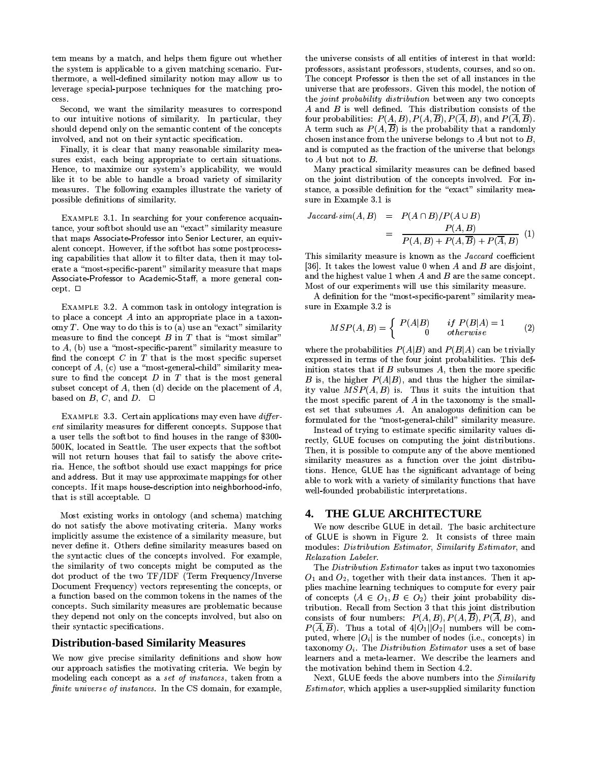tem means by a match, and helps them figure out whether the system is applicable to a given matching scenario. Furthermore, a well-defined similarity notion may allow us to leverage special-purpose techniques for the matching process.

Second, we want the similarity measures to correspond to our intuitive notions of similarity. In particular, they should depend only on the semantic content of the concepts involved, and not on their syntactic specification.

Finally, it is clear that many reasonable similarity measures exist, each being appropriate to certain situations. Hence, to maximize our system's applicability, we would like it to be able to handle a broad variety of similarity measures. The following examples illustrate the variety of possible definitions of similarity.

EXAMPLE 3.1. In searching for your conference acquaintance, your softbot should use an "exact" similarity measure that maps Associate-Professor into Senior Lecturer, an equivalent concept. However, if the softbot has some postprocessing capabilities that allow it to filter data, then it may tolerate a "most-specific-parent" similarity measure that maps Associate-Professor to Academic-Staff, a more general concept.  $\Box$ 

EXAMPLE 3.2. A common task in ontology integration is to place a concept  $A$  into an appropriate place in a taxonomy  $T$ . One way to do this is to (a) use an "exact" similarity measure to find the concept  $B$  in  $T$  that is "most similar" to  $A$ , (b) use a "most-specific-parent" similarity measure to find the concept  $C$  in  $T$  that is the most specific superset concept of  $A$ , (c) use a "most-general-child" similarity measure to find the concept  $D$  in  $T$  that is the most general subset concept of  $A$ , then (d) decide on the placement of  $A$ , based on  $B, C,$  and  $D. \square$ 

EXAMPLE 3.3. Certain applications may even have different similarity measures for different concepts. Suppose that a user tells the softbot to find houses in the range of \$300 500K, located in Seattle. The user expects that the softbot will not return houses that fail to satisfy the above criteria. Hence, the softbot should use exact mappings for price and address. But it may use approximate mappings for other concepts. If it maps house-description into neighborhood-info, that is still acceptable.  $\Box$ 

Most existing works in ontology (and schema) matching do not satisfy the above motivating criteria. Many works implicitly assume the existence of a similarity measure, but never define it. Others define similarity measures based on the syntactic clues of the concepts involved. For example, the similarity of two concepts might be computed as the dot product of the two TF/IDF (Term Frequency/Inverse Document Frequency) vectors representing the concepts, or a function based on the common tokens in the names of the concepts. Such similarity measures are problematic because they depend not only on the concepts involved, but also on their syntactic specifications.

### **Distribution-based Similarity Measures**

We now give precise similarity definitions and show how our approach satisfies the motivating criteria. We begin by modeling each concept as a set of instances, taken from a finite universe of instances. In the CS domain, for example,

the universe consists of all entities of interest in that world: professors, assistant professors, students, courses, and so on. The concept Professor is then the set of all instances in the universe that are professors. Given this model, the notion of the *joint probability distribution* between any two concepts A and B is well defined. This distribution consists of the four probabilities:  $P(A, B), P(A, \overline{B}), P(\overline{A}, B)$ , and  $P(\overline{A}, \overline{B})$ . A term such as  $P(A, B)$  is the probability that a randomly chosen instance from the universe belongs to  $A$  but not to  $B$ , and is computed as the fraction of the universe that belongs to  $A$  but not to  $B$ .

Many practical similarity measures can be defined based on the joint distribution of the concepts involved. For instance, a possible definition for the "exact" similarity measure in Example 3.1 is

$$
Jaccard\text{-}sim(A, B) = P(A \cap B)/P(A \cup B)
$$
  
= 
$$
\frac{P(A, B)}{P(A, B) + P(A, \overline{B}) + P(\overline{A}, B)}
$$
 (1)

This similarity measure is known as the Jaccard coefficient [36]. It takes the lowest value 0 when  $A$  and  $B$  are disjoint, and the highest value 1 when  $A$  and  $B$  are the same concept. Most of our experiments will use this similarity measure.

A definition for the "most-specific-parent" similarity measure in Example 3.2 is

$$
MSP(A,B) = \begin{cases} P(A|B) & if P(B|A) = 1 \\ 0 & otherwise \end{cases}
$$
 (2)

where the probabilities  $P(A|B)$  and  $P(B|A)$  can be trivially expressed in terms of the four joint probabilities. This definition states that if  $B$  subsumes  $A$ , then the more specific B is, the higher  $P(A|B)$ , and thus the higher the similarity value  $MSP(A, B)$  is. Thus it suits the intuition that the most specific parent of  $A$  in the taxonomy is the smallest set that subsumes A. An analogous definition can be formulated for the "most-general-child" similarity measure.

Instead of trying to estimate specific similarity values directly, GLUE focuses on computing the joint distributions. Then, it is possible to compute any of the above mentioned similarity measures as a function over the joint distributions. Hence, GLUE has the significant advantage of being able to work with a variety of similarity functions that have well-founded probabilistic interpretations.

#### THE GLUE ARCHITECTURE 4.

We now describe GLUE in detail. The basic architecture of GLUE is shown in Figure 2. It consists of three main modules: Distribution Estimator, Similarity Estimator, and Relaxation Labeler.

The Distribution Estimator takes as input two taxonomies  $O_1$  and  $O_2$ , together with their data instances. Then it applies machine learning techniques to compute for every pair of concepts  $\{A \in O_1, B \in O_2\}$  their joint probability distribution. Recall from Section 3 that this joint distribution consists of four numbers:  $P(A, B), P(A, \overline{B}), P(\overline{A}, B)$ , and  $P(\overline{A}, \overline{B})$ . Thus a total of  $4|O_1||O_2|$  numbers will be computed, where  $|O_i|$  is the number of nodes (i.e., concepts) in taxonomy  $O_i$ . The *Distribution Estimator* uses a set of base learners and a meta-learner. We describe the learners and the motivation behind them in Section 4.2.

Next, GLUE feeds the above numbers into the Similarity *Estimator*, which applies a user-supplied similarity function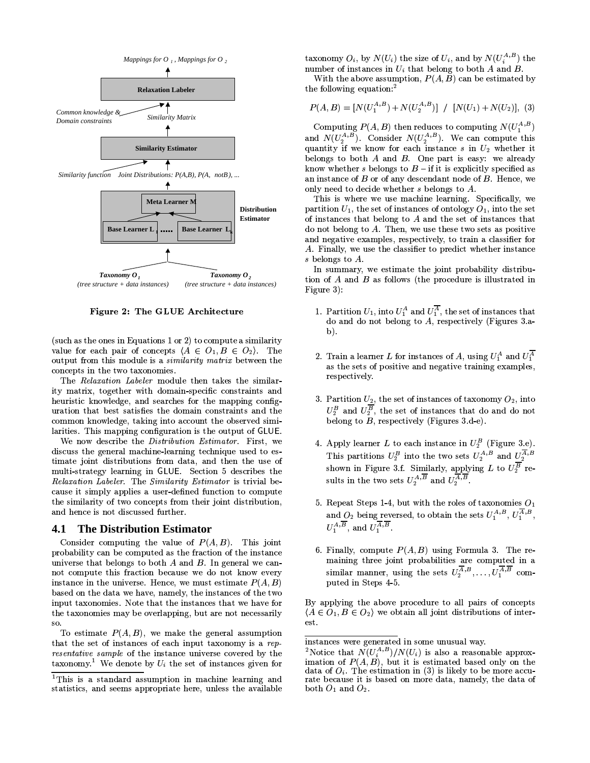

Figure 2: The GLUE Architecture

(such as the ones in Equations 1 or 2) to compute a similarity value for each pair of concepts  $\{A \in O_1, B \in O_2\}$ . The output from this module is a *similarity matrix* between the concepts in the two taxonomies.

The Relaxation Labeler module then takes the similarity matrix, together with domain-specific constraints and heuristic knowledge, and searches for the mapping configuration that best satisfies the domain constraints and the common knowledge, taking into account the observed similarities. This mapping configuration is the output of GLUE.

We now describe the *Distribution Estimator*. First, we discuss the general machine-learning technique used to estimate joint distributions from data, and then the use of multi-strategy learning in GLUE. Section 5 describes the Relaxation Labeler. The Similarity Estimator is trivial because it simply applies a user-defined function to compute the similarity of two concepts from their joint distribution. and hence is not discussed further.

#### $4.1$ **The Distribution Estimator**

Consider computing the value of  $P(A, B)$ . This joint probability can be computed as the fraction of the instance universe that belongs to both  $A$  and  $B$ . In general we cannot compute this fraction because we do not know every instance in the universe. Hence, we must estimate  $P(A, B)$ based on the data we have, namely, the instances of the two input taxonomies. Note that the instances that we have for the taxonomies may be overlapping, but are not necessarily  $\mathbf{s}$ <sup> $\alpha$ </sup>

To estimate  $P(A, B)$ , we make the general assumption that the set of instances of each input taxonomy is a rep*resentative sample* of the instance universe covered by the taxonomy.<sup>1</sup> We denote by  $U_i$  the set of instances given for taxonomy  $O_i$ , by  $N(U_i)$  the size of  $U_i$ , and by  $N(U_i^{A,B})$  the number of instances in  $U_i$  that belong to both A and B.

With the above assumption,  $P(A, B)$  can be estimated by the following equation: $2$ 

$$
P(A, B) = [N(U_1^{A, B}) + N(U_2^{A, B})] / [N(U_1) + N(U_2)], (3)
$$

Computing  $P(A, B)$  then reduces to computing  $N(U_1^{A,B})$ <br>and  $N(U_2^{A,B})$ . Consider  $N(U_2^{A,B})$ . We can compute this quantity if we know for each instance  $s$  in  $U_2$  whether it belongs to both  $A$  and  $B$ . One part is easy: we already know whether s belongs to  $B$  – if it is explicitly specified as an instance of  $B$  or of any descendant node of  $B$ . Hence, we only need to decide whether s belongs to A.

This is where we use machine learning. Specifically, we partition  $U_1$ , the set of instances of ontology  $O_1$ , into the set of instances that belong to  $A$  and the set of instances that do not belong to  $A$ . Then, we use these two sets as positive and negative examples, respectively, to train a classifier for A. Finally, we use the classifier to predict whether instance s belongs to  $A$ .

In summary, we estimate the joint probability distribution of  $A$  and  $B$  as follows (the procedure is illustrated in Figure 3):

- 1. Partition  $U_1$ , into  $U_1^A$  and  $U_1^{\overline{A}}$ , the set of instances that do and do not belong to  $A$ , respectively (Figures 3.a $b)$ .
- 2. Train a learner L for instances of A, using  $U_1^A$  and  $U_1^{\overline{A}}$ as the sets of positive and negative training examples, respectively.
- 3. Partition  $U_2$ , the set of instances of taxonomy  $O_2$ , into  $U_2^B$  and  $U_2^{\overline{B}}$ , the set of instances that do and do not belong to  $B$ , respectively (Figures 3.d-e).
- 4. Apply learner L to each instance in  $U_2^B$  (Figure 3.e).<br>This partitions  $U_2^B$  into the two sets  $U_2^{A,B}$  and  $U_2^{\overline{A},B}$ shown in Figure 3.f. Similarly, applying L to  $U_2^{\overline{B}}$  results in the two sets  $U_2^{A, \overline{B}}$  and  $U_2^{\overline{A}, \overline{B}}$ .
- 5. Repeat Steps 1-4, but with the roles of taxonomies  $O_1$ and  $O_2$  being reversed, to obtain the sets  $U_1^{A,B}$ ,  $U_1^{\overline{A},B}$ ,  $U_1^{\overline{A},B}$ ,  $U_1^{A,\overline{B}}$ , and  $U_1^{\overline{A},\overline{B}}$ .
- 6. Finally, compute  $P(A, B)$  using Formula 3. The remaining three joint probabilities are computed in a<br>similar manner, using the sets  $U_2^{\overline{A},B}, \ldots, U_1^{\overline{A},\overline{B}}$  computed in Steps 4-5.

By applying the above procedure to all pairs of concepts  $\langle A \in O_1, B \in O_2 \rangle$  we obtain all joint distributions of interest.

<sup>&</sup>lt;sup>1</sup>This is a standard assumption in machine learning and statistics, and seems appropriate here, unless the available

instances were generated in some unusual way.

<sup>&</sup>lt;sup>2</sup>Notice that  $N(U_i^{A,B})/N(U_i)$  is also a reasonable approximation of  $P(A, B)$ , but it is estimated based only on the data of  $O_i$ . The estimation in (3) is likely to be more accurate because it is based on more data, namely, the data of both  $O_1$  and  $O_2$ .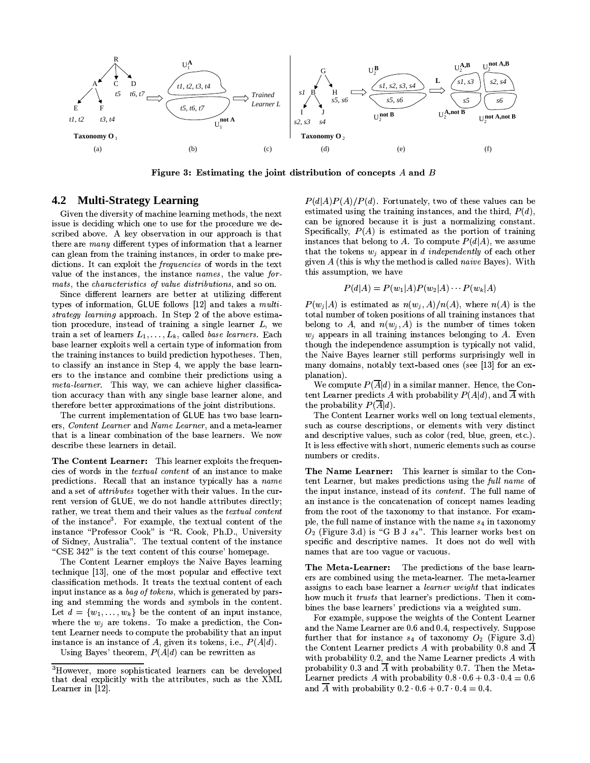

Figure 3: Estimating the joint distribution of concepts A and B

### **Multi-Strategy Learning** 4.2

Given the diversity of machine learning methods, the next issue is deciding which one to use for the procedure we described above. A key observation in our approach is that there are many different types of information that a learner can glean from the training instances, in order to make predictions. It can exploit the *frequencies* of words in the text value of the instances, the instance names, the value formats, the characteristics of value distributions, and so on.

Since different learners are better at utilizing different types of information, GLUE follows [12] and takes a multi*strategy learning* approach. In Step 2 of the above estimation procedure, instead of training a single learner  $L$ , we train a set of learners  $L_1, \ldots, L_k$ , called base learners. Each base learner exploits well a certain type of information from the training instances to build prediction hypotheses. Then, to classify an instance in Step 4, we apply the base learners to the instance and combine their predictions using a meta-learner. This way, we can achieve higher classification accuracy than with any single base learner alone, and therefore better approximations of the joint distributions.

The current implementation of GLUE has two base learners, Content Learner and Name Learner, and a meta-learner that is a linear combination of the base learners. We now describe these learners in detail.

The Content Learner: This learner exploits the frequencies of words in the textual content of an instance to make predictions. Recall that an instance typically has a name and a set of *attributes* together with their values. In the current version of GLUE, we do not handle attributes directly; rather, we treat them and their values as the *textual content* of the instance<sup>3</sup>. For example, the textual content of the instance "Professor Cook" is "R. Cook. Ph.D., University of Sidney, Australia". The textual content of the instance "CSE 342" is the text content of this course' homepage.

The Content Learner employs the Naive Bayes learning technique [13], one of the most popular and effective text classification methods. It treats the textual content of each input instance as a bag of tokens, which is generated by parsing and stemming the words and symbols in the content. Let  $d = \{w_1, \ldots, w_k\}$  be the content of an input instance, where the  $w_i$  are tokens. To make a prediction, the Content Learner needs to compute the probability that an input instance is an instance of A, given its tokens, i.e.,  $P(A|d)$ .

 $P(d|A)P(A)/P(d)$ . Fortunately, two of these values can be estimated using the training instances, and the third,  $P(d)$ , can be ignored because it is just a normalizing constant. Specifically,  $P(A)$  is estimated as the portion of training instances that belong to A. To compute  $P(d|A)$ , we assume that the tokens  $w_i$  appear in d independently of each other given  $A$  (this is why the method is called *naive* Bayes). With this assumption, we have

$$
P(d|A) = P(w_1|A)P(w_2|A) \cdots P(w_k|A)
$$

 $P(w_i|A)$  is estimated as  $n(w_i, A)/n(A)$ , where  $n(A)$  is the total number of token positions of all training instances that belong to A, and  $n(w_j, A)$  is the number of times token  $w_j$  appears in all training instances belonging to A. Even though the independence assumption is typically not valid, the Naive Bayes learner still performs surprisingly well in many domains, notably text-based ones (see [13] for an explanation).

We compute  $P(\overline{A}|d)$  in a similar manner. Hence, the Content Learner predicts A with probability  $P(A|d)$ , and  $\overline{A}$  with the probability  $P(\overline{A}|d)$ .

The Content Learner works well on long textual elements, such as course descriptions, or elements with very distinct and descriptive values, such as color (red, blue, green, etc.). It is less effective with short, numeric elements such as course numbers or credits.

The Name Learner: This learner is similar to the Content Learner, but makes predictions using the full name of the input instance, instead of its *content*. The full name of an instance is the concatenation of concept names leading from the root of the taxonomy to that instance. For example, the full name of instance with the name  $s_4$  in taxonomy  $O_2$  (Figure 3.d) is "G B J  $s_4$ ". This learner works best on specific and descriptive names. It does not do well with names that are too vague or vacuous.

The Meta-Learner: The predictions of the base learners are combined using the meta-learner. The meta-learner assigns to each base learner a *learner weight* that indicates how much it *trusts* that learner's predictions. Then it combines the base learners' predictions via a weighted sum.

For example, suppose the weights of the Content Learner and the Name Learner are 0.6 and 0.4, respectively. Suppose further that for instance  $s_4$  of taxonomy  $O_2$  (Figure 3.d) the Content Learner predicts A with probability 0.8 and A with probability 0.2, and the Name Learner predicts A with probability 0.3 and A with probability 0.7. Then the Meta-Learner predicts A with probability  $0.8 \cdot 0.6 + 0.3 \cdot 0.4 = 0.6$ and A with probability  $0.2 \cdot 0.6 + 0.7 \cdot 0.4 = 0.4$ .

Using Bayes' theorem,  $P(A|d)$  can be rewritten as

<sup>&</sup>lt;sup>3</sup>However, more sophisticated learners can be developed that deal explicitly with the attributes, such as the XML Learner in  $[12]$ .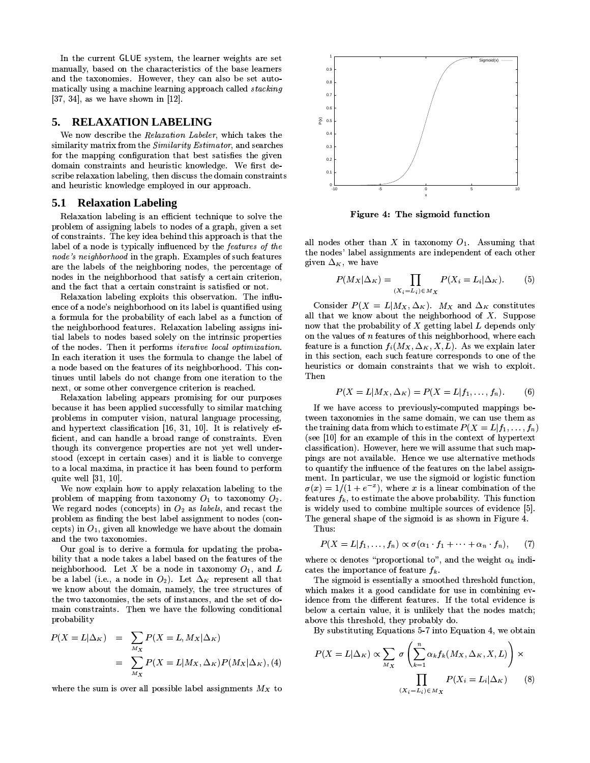In the current GLUE system, the learner weights are set manually, based on the characteristics of the base learners and the taxonomies. However, they can also be set automatically using a machine learning approach called stacking  $[37, 34]$ , as we have shown in  $[12]$ .

### 5. **RELAXATION LABELING**

We now describe the Relaxation Labeler, which takes the similarity matrix from the Similarity Estimator, and searches for the mapping configuration that best satisfies the given domain constraints and heuristic knowledge. We first describe relaxation labeling, then discuss the domain constraints and heuristic knowledge employed in our approach.

#### 5.1 **Relaxation Labeling**

Relaxation labeling is an efficient technique to solve the problem of assigning labels to nodes of a graph, given a set of constraints. The key idea behind this approach is that the label of a node is typically influenced by the features of the node's neighborhood in the graph. Examples of such features are the labels of the neighboring nodes, the percentage of nodes in the neighborhood that satisfy a certain criterion, and the fact that a certain constraint is satisfied or not.

Relaxation labeling exploits this observation. The influence of a node's neighborhood on its label is quantified using a formula for the probability of each label as a function of the neighborhood features. Relaxation labeling assigns initial labels to nodes based solely on the intrinsic properties of the nodes. Then it performs *iterative local optimization*. In each iteration it uses the formula to change the label of a node based on the features of its neighborhood. This continues until labels do not change from one iteration to the next, or some other convergence criterion is reached.

Relaxation labeling appears promising for our purposes because it has been applied successfully to similar matching problems in computer vision, natural language processing, and hypertext classification [16, 31, 10]. It is relatively efficient, and can handle a broad range of constraints. Even though its convergence properties are not yet well understood (except in certain cases) and it is liable to converge to a local maxima, in practice it has been found to perform quite well [31, 10].

We now explain how to apply relaxation labeling to the problem of mapping from taxonomy  $O_1$  to taxonomy  $O_2$ . We regard nodes (concepts) in  $O_2$  as labels, and recast the problem as finding the best label assignment to nodes (concepts) in  $O_1$ , given all knowledge we have about the domain and the two taxonomies.

Our goal is to derive a formula for updating the probability that a node takes a label based on the features of the neighborhood. Let X be a node in taxonomy  $O_1$ , and L be a label (i.e., a node in  $O_2$ ). Let  $\Delta_K$  represent all that we know about the domain, namely, the tree structures of the two taxonomies, the sets of instances, and the set of domain constraints. Then we have the following conditional probability

$$
P(X = L|\Delta_K) = \sum_{M_X} P(X = L, M_X | \Delta_K)
$$
  
= 
$$
\sum_{M_X} P(X = L | M_X, \Delta_K) P(M_X | \Delta_K), (4)
$$

where the sum is over all possible label assignments  $M_X$  to



Figure 4: The sigmoid function

all nodes other than  $X$  in taxonomy  $O_1$ . Assuming that the nodes' label assignments are independent of each other given  $\Delta_K$ , we have

$$
P(M_X|\Delta_K) = \prod_{(X_i = L_i) \in M_X} P(X_i = L_i | \Delta_K). \tag{5}
$$

Consider  $P(X = L|M_X, \Delta_K)$ .  $M_X$  and  $\Delta_K$  constitutes all that we know about the neighborhood of  $X$ . Suppose now that the probability of  $X$  getting label  $L$  depends only on the values of n features of this neighborhood, where each feature is a function  $f_i(M_X, \Delta_K, X, L)$ . As we explain later in this section, each such feature corresponds to one of the heuristics or domain constraints that we wish to exploit. Then

$$
P(X = L|M_X, \Delta_K) = P(X = L|f_1, \dots, f_n). \tag{6}
$$

If we have access to previously-computed mappings between taxonomies in the same domain, we can use them as the training data from which to estimate  $P(X = L | f_1, \ldots, f_n)$ (see [10] for an example of this in the context of hypertext classification). However, here we will assume that such mappings are not available. Hence we use alternative methods to quantify the influence of the features on the label assignment. In particular, we use the sigmoid or logistic function  $\sigma(x) = 1/(1 + e^{-x})$ , where x is a linear combination of the features  $f_k$ , to estimate the above probability. This function is widely used to combine multiple sources of evidence [5]. The general shape of the sigmoid is as shown in Figure 4. Thus:

$$
P(X = L | f_1, \ldots, f_n) \propto \sigma(\alpha_1 \cdot f_1 + \cdots + \alpha_n \cdot f_n), \qquad (7)
$$

where  $\propto$  denotes "proportional to", and the weight  $\alpha_k$  indicates the importance of feature  $f_k$ .

The sigmoid is essentially a smoothed threshold function, which makes it a good candidate for use in combining evidence from the different features. If the total evidence is below a certain value, it is unlikely that the nodes match; above this threshold, they probably do.

By substituting Equations 5-7 into Equation 4, we obtain

$$
P(X = L|\Delta_K) \propto \sum_{M_X} \sigma \left( \sum_{k=1}^n \alpha_k f_k(M_X, \Delta_K, X, L) \right) \times \prod_{(X_i = L_i) \in M_X} P(X_i = L_i | \Delta_K) \tag{8}
$$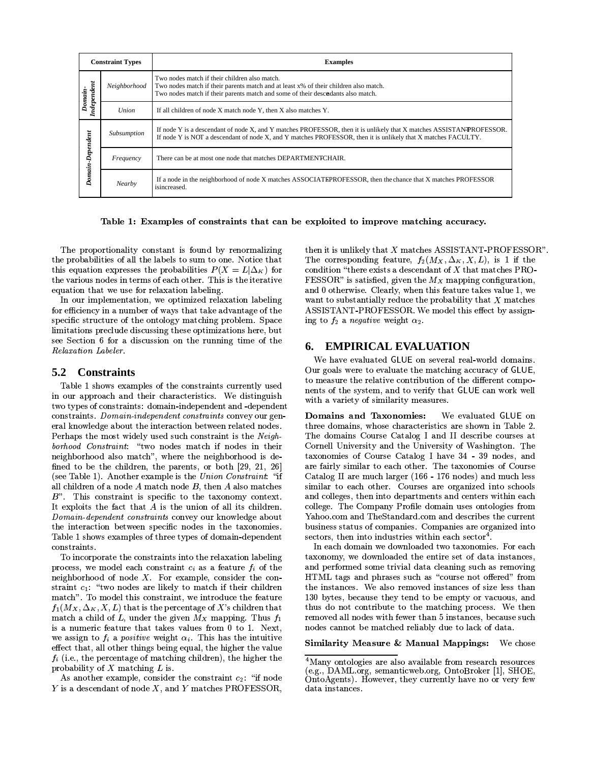| <b>Constraint Types</b> |              | <b>Examples</b>                                                                                                                                                                                                                       |  |  |  |  |  |
|-------------------------|--------------|---------------------------------------------------------------------------------------------------------------------------------------------------------------------------------------------------------------------------------------|--|--|--|--|--|
| Independent<br>Domain-  | Neighborhood | Two nodes match if their children also match.<br>Two nodes match if their parents match and at least x% of their children also match.<br>Two nodes match if their parents match and some of their descudants also match.              |  |  |  |  |  |
|                         | Union        | If all children of node X match node Y, then X also matches Y.                                                                                                                                                                        |  |  |  |  |  |
| $-Dependent$<br>Domain- | Subsumption  | If node Y is a descendant of node X, and Y matches PROFESSOR, then it is unlikely that X matches ASSISTAN-PROFESSOR.<br>If node Y is NOT a descendant of node X, and Y matches PROFESSOR, then it is unlikely that X matches FACULTY. |  |  |  |  |  |
|                         | Frequency    | There can be at most one node that matches DEPARTMENTCHAIR.                                                                                                                                                                           |  |  |  |  |  |
|                         | Nearby       | If a node in the neighborhood of node X matches ASSOCIATEPROFESSOR, then the chance that X matches PROFESSOR<br>isincreased.                                                                                                          |  |  |  |  |  |

-#W, #W, ".P \*.+ #\* .( #(# ! -W,\*-+ - +&W \* !&# #\$1 #\$

 $\pm 1.1$ ,  $\pm 1.1$ ,  $\pm 1.1$ ,  $\pm 1.1$ ,  $\pm 1.1$ ,  $\pm 1.1$ ,  $\pm 1.1$ ,  $\pm 1.1$ ,  $\pm 1.1$ ,  $\pm 1.1$ ,  $\pm 1.1$ ,  $\pm 1.1$ ,  $\pm 1.1$ ,  $\pm 1.1$ ,  $\pm 1.1$ ,  $\pm 1.1$ ,  $\pm 1.1$ ,  $\pm 1.1$ ,  $\pm 1.1$ ,  $\pm 1.1$ ,  $\pm 1.1$ ,  $\pm 1.1$ , +pU
,%i%>f+29%H #+G+'& ?.%>.%>+DY++ UA

 $\sim$  2Z2Z  $\sim$  2Z2Z  $\sim$  2Z2Z  $\sim$  2Z2Z  $\sim$  2Z2Z  $\sim$  2Z2Z  $\sim$  2Z2Z  $\sim$  2Z2Z  $\sim$  2Z2Z  $\sim$  2Z2Z  $\sim$  2Z2Z  $\sim$  2Z2Z  $\sim$  2Z2Z  $\sim$  2Z2Z  $\sim$  2Z2Z  $\sim$  2Z2Z  $\sim$  2Z2Z  $\sim$  2Z2Z  $\sim$  2Z2Z  $\sim$  2Z2Z  $\sim$  2Z2Z  $\sim$  2Z2Z  $\$ for efficiency in a number of ways that take advantage of the . And the second state of the second state of the second state of the second state of the second state of the s Y23YJ- %E#J.,m.%#',%%C\*T+%
p .23 %E =, '/7 R1/HM 9;. # R1/HM 9;. # R1/HM 9;. # R1/HM 9;. # R1/HM 9;. # R1/HM 9;. # R1/HM 9;. # R1/HM 9;. # R1/HM 9;. #  $Relaxation$  Labeler.

### **5.2 Constraints**

?=3N%
 (j%F'w-2Z%)HB+G#' %C++-J%g#',YO,% in our approach and their characteristics. We distinguish . The contract of the contract of the contract of the contract of the contract of the contract of the contract of the contract of the contract of the contract of the contract of the contract of the contract of the contract  $H$  , and the contract of the contract of the contract of the contract of the contract of the contract of the contract of the contract of the contract of the contract of the contract of the contract of the contract of the +}E2 4 D +}-P<sup>6</sup> ¯C(m%Q29-J#+|YH9%46+' as the second contract of the second contract of the second contract of the second contract of the second contract of the second contract of the second contract of the second contract of the second contract of the second c , and the state of the state of the state of the state of the state of the state of the state of the state of the state of the state of the state of the state of the state of the state of the state of the state of the stat Yazho e la severa de la severa de la severa de la severa de la severa de la severa de la severa de la severa d . N° and ' was a set of the set of the set of the set of the set of the set of the set of the set of the set of the set of the set of the set of the set of the set of the set of the set of the set of the set of the set of Y A RH+9HP #RL++ . N+9HP #RL++ . N+9,dHX-+ . N+9,dHX-+ . N+9,dHX-+ . N+9,dHX-+ . N+9,dHX-+ . N+9,dHX-+ . N+9,dH 4GZ-Pj4~j/~R\*4A~Rj+ +}
P F#' UA'O,g@(F\*G= , +K+'+ #R =RC()'%
#RYa#K%9v+hJ-w 23%'& (i) produced a set of the set of the set of the set of the set of the set of the set of the set of the set of t constraints.

 $\sim$  2  $\sim$  32  $\sim$  32  $\sim$  32  $\sim$  32  $\sim$  32  $\sim$  32  $\sim$  32  $\sim$  32  $\sim$  32  $\sim$  32  $\sim$  32  $\sim$  32  $\sim$  32  $\sim$  32  $\sim$  32  $\sim$  32  $\sim$  32  $\sim$  32  $\sim$  32  $\sim$  32  $\sim$  32  $\sim$  32  $\sim$  32  $\sim$  32  $\sim$  32  $\sim$  32  $\sim$  3 's extended to the state of the state of the state of the state of the state of the state of the state of the s "<  C <sup>C</sup> <sup>T</sup><sup>C</sup> \$m+-.%+D'+#'J\*p-<sup>H</sup> T<sup>W</sup> %>#JYM\$+ . The set of the set of the set of the set of the set of the set of the set of the set of the set of the set of the set of the set of the set of the set of the set of the set of the set of the set of the set of the set of , we have the contract of the contract of the state  $\mathcal{H}$  ,  $\mathcal{H}$  and  $\mathcal{H}$  and  $\mathcal{H}$  and  $\mathcal{H}$ ram are the contract of the contract of the contract of the contract of the contract of the contract of the con "H P& &Y +g+#'J-\* jH29-J#+\*\$#J.R +j\* 'D+  $\blacksquare$ 

xX%X--+X'w2Z #' %C.j+N#' %C++-> 6N¯YHp au.%Df%#'-c-H] T a|29-J#+%ED-z77-G

+'\$.%,Y@A'YT+- T 29-J#+%x\$77^7?x2?Ip-z77-T°& ?;#'%
 \*5HP +, ">  CDC <sup>T</sup><sup>C</sup> \$pR X.%;4YHG+ #'Y h¯
+c'w.%CJ%>g%#'>H T + i29 J#J%p-I . The state of the state of the state of the state of the state of the state of the state of the state of the s ,at the state of the state of the state of the state of the state of the state of the state of the state of th ASSISTANT-PROFESSOR. We model this effect by assigning to  $f_2$  a negative weight  $\alpha_2$ .

### **6. EMPIRICAL EVALUATION**

the contract of the contract of the contract of the contract of the contract of the contract of the contract of the term of the term of the term of the term of the term of the term of the term of the term of the term of th

 \*&#. #\* -#;& ". :</U-We evaluated GLUE on . The 29-Second contract of the Second Contract of the 29-Second contract of the 20-Second contract of the 20-?h29-%e©m ,+%
Q©)-J-\*<^Nd^^L%#R
.=h#' ,+%
%3 ©m 'YDªTUA'+%C\_44+eªXUA+%CYCKHm:< %
.\*+>& ? J-w 23%9HL©m,+%
;©)-J \*8^3UA4-¸5Iek<%' X- NH . Y: C23YM-C . Y: C23YM-C . Y: C23YM-C . Y: C23YM-C . Y: C23YM-C . Y: C23YM-C . Y: C23YM-C . Y: C23YM-C . Y: C23YM-C . Y: C23YM-C . Y: C23YM-C . Y: C23YM-C . Y: C23YM-C . Y: C23YM-C . Y: C23YM-C . Y: C23YM-C . Y: C23YM-©)-J \*Z^^)-f2e,#JZ.\*G
 NIje%+F-92e,#+9.%% business status of companies. Companies are organized into %
#R++%' &

In each domain we downloaded two taxonomies. For each  $\sim$  500  $\pm$  500  $\pm$  500  $\pm$  500  $\pm$  500  $\pm$  500  $\pm$  500  $\pm$  500  $\pm$  500  $\pm$  500  $\pm$ in the state of the state of the state of the state of the state of the state of the state of the state of the decade and the state of the state of the state of the state of the state of the state of the state of the state of the state of the state of the state of the state of the state of the state of the state of the state of the

Similarity Measure  $&$  Manual Mappings: We chose

 $\overline{A}$  ,  $\overline{A}$  ,  $\overline{A}$  ,  $\overline{A}$  ,  $\overline{A}$  ,  $\overline{A}$  ,  $\overline{A}$  ,  $\overline{A}$  ,  $\overline{A}$  ,  $\overline{A}$  ,  $\overline{A}$  ,  $\overline{A}$  ,  $\overline{A}$  ,  $\overline{A}$  ,  $\overline{A}$  ,  $\overline{A}$  ,  $\overline{A}$  ,  $\overline{A}$  ,  $\overline{A}$  ,  $\overline{A}$  , & \*&Y XxT`Kp& \* %
29-.#R(m=>& \* -+5@A3 R i7S- -+Aximation department of the state of the state of the state of the state of the state of the state of the state of the state of the state of the state of the state of the state of the state of the state of the state of t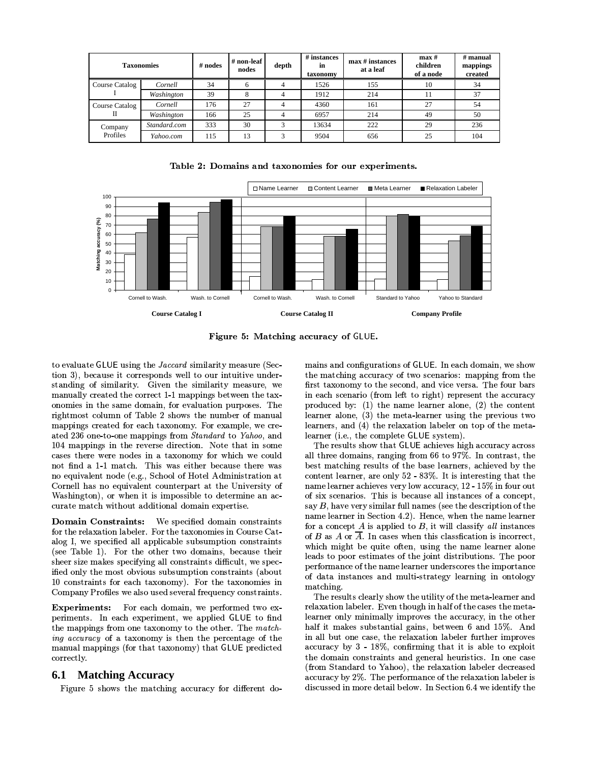| <b>Taxonomies</b> |              | $#$ nodes | $#$ non-leaf<br>nodes | depth                   | # instances<br>in<br>taxonomy | $\max \#$ instances<br>at a leaf | max#<br>children<br>of a node | # manual<br>mappings<br>created |
|-------------------|--------------|-----------|-----------------------|-------------------------|-------------------------------|----------------------------------|-------------------------------|---------------------------------|
| Course Catalog    | Cornell      | 34        | h                     | 4                       | 1526                          | 155                              | 10                            | 34                              |
|                   | Washington   | 39        |                       | 4                       | 1912                          | 214                              | 11                            | 37                              |
| Course Catalog    | Cornell      | 176       | 27                    | 4                       | 4360                          | 161                              | 27                            | 54                              |
| П                 | Washington   | 166       | 25                    | 4                       | 6957                          | 214                              | 49                            | 50                              |
| Company           | Standard.com | 333       | 30                    | 3                       | 13634                         | 222                              | 29                            | 236                             |
| Profiles          | Yahoo.com    | 115       | 13                    | $\overline{\mathbf{a}}$ | 9504                          | 656                              | 25                            | 104                             |

Table 2: Domains and taxonomies for our experiments.



Figure 5: Matching accuracy of GLUE.

to evaluate GLUE using the Jaccard similarity measure (Section 3), because it corresponds well to our intuitive understanding of similarity. Given the similarity measure, we manually created the correct 1-1 mappings between the taxonomies in the same domain, for evaluation purposes. The rightmost column of Table 2 shows the number of manual mappings created for each taxonomy. For example, we created 236 one-to-one mappings from Standard to Yahoo, and 104 mappings in the reverse direction. Note that in some cases there were nodes in a taxonomy for which we could not find a 1-1 match. This was either because there was no equivalent node (e.g., School of Hotel Administration at Cornell has no equivalent counterpart at the University of Washington), or when it is impossible to determine an accurate match without additional domain expertise.

Domain Constraints: We specified domain constraints for the relaxation labeler. For the taxonomies in Course Catalog I, we specified all applicable subsumption constraints (see Table 1). For the other two domains, because their sheer size makes specifying all constraints difficult, we specified only the most obvious subsumption constraints (about 10 constraints for each taxonomy). For the taxonomies in Company Profiles we also used several frequency constraints.

Experiments: For each domain, we performed two experiments. In each experiment, we applied GLUE to find the mappings from one taxonomy to the other. The matching accuracy of a taxonomy is then the percentage of the manual mappings (for that taxonomy) that GLUE predicted correctly.

### **6.1 Matching Accuracy**

Figure 5 shows the matching accuracy for different do-

mains and configurations of GLUE. In each domain, we show the matching accuracy of two scenarios: mapping from the first taxonomy to the second, and vice versa. The four bars in each scenario (from left to right) represent the accuracy produced by:  $(1)$  the name learner alone,  $(2)$  the content learner alone, (3) the meta-learner using the previous two learners, and (4) the relaxation labeler on top of the metalearner (i.e., the complete GLUE system).

The results show that GLUE achieves high accuracy across all three domains, ranging from 66 to 97%. In contrast, the best matching results of the base learners, achieved by the content learner, are only  $52 - 83\%$ . It is interesting that the name learner achieves very low accuracy, 12 - 15% in four out of six scenarios. This is because all instances of a concept. say  $B$ , have very similar full names (see the description of the name learner in Section 4.2). Hence, when the name learner for a concept  $A$  is applied to  $B$ , it will classify all instances of B as A or  $\overline{A}$ . In cases when this classfication is incorrect, which might be quite often, using the name learner alone leads to poor estimates of the joint distributions. The poor performance of the name learner underscores the importance of data instances and multi-strategy learning in ontology matching.

The results clearly show the utility of the meta-learner and relaxation labeler. Even though in half of the cases the metalearner only minimally improves the accuracy, in the other half it makes substantial gains, between 6 and 15%. And in all but one case, the relaxation labeler further improves accuracy by 3 - 18%, confirming that it is able to exploit the domain constraints and general heuristics. In one case (from Standard to Yahoo), the relaxation labeler decreased accuracy by  $2\%$ . The performance of the relaxation labeler is discussed in more detail below. In Section 6.4 we identify the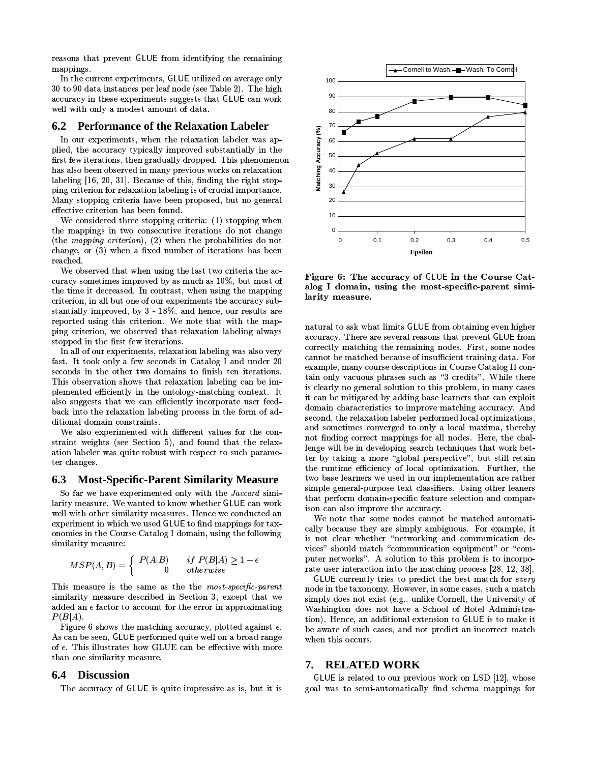reasons that prevent GLUE from identifying the remaining mappings.

In the current experiments, GLUE utilized on average only 30 to 90 data instances per leaf node (see Table 2). The high accuracy in these experiments suggests that GLUE can work well with only a modest amount of data.

#### 6.2 **Performance of the Relaxation Labeler**

In our experiments, when the relaxation labeler was applied, the accuracy typically improved substantially in the first few iterations, then gradually dropped. This phenomenon has also been observed in many previous works on relaxation labeling [16, 20, 31]. Because of this, finding the right stopping criterion for relaxation labeling is of crucial importance. Many stopping criteria have been proposed, but no general effective criterion has been found.

We considered three stopping criteria: (1) stopping when the mappings in two consecutive iterations do not change (the *mapping criterion*), (2) when the probabilities do not change, or (3) when a fixed number of iterations has been reached.

We observed that when using the last two criteria the accuracy sometimes improved by as much as 10%, but most of the time it decreased. In contrast, when using the mapping criterion, in all but one of our experiments the accuracy substantially improved, by 3 - 18%, and hence, our results are reported using this criterion. We note that with the mapping criterion, we observed that relaxation labeling always stopped in the first few iterations.

In all of our experiments, relaxation labeling was also very fast. It took only a few seconds in Catalog I and under 20 seconds in the other two domains to finish ten iterations. This observation shows that relaxation labeling can be implemented efficiently in the ontology-matching context. It also suggests that we can efficiently incorporate user feedback into the relaxation labeling process in the form of additional domain constraints.

We also experimented with different values for the constraint weights (see Section 5), and found that the relaxation labeler was quite robust with respect to such parameter changes.

#### **Most-Specific-Parent Similarity Measure**  $6.3$

So far we have experimented only with the Jaccard similarity measure. We wanted to know whether GLUE can work well with other similarity measures. Hence we conducted an experiment in which we used GLUE to find mappings for taxonomies in the Course Catalog I domain, using the following similarity measure:

$$
MSP(A, B) = \begin{cases} P(A|B) & \text{if } P(B|A) \ge 1 - \epsilon \\ 0 & \text{otherwise} \end{cases}
$$

This measure is the same as the the most-specific-parent similarity measure described in Section 3, except that we added an  $\epsilon$  factor to account for the error in approximating  $P(B|A)$ .

Figure 6 shows the matching accuracy, plotted against  $\epsilon$ . As can be seen, GLUE performed quite well on a broad range of  $\epsilon$ . This illustrates how GLUE can be effective with more than one similarity measure.

### **6.4 Discussion**

The accuracy of GLUE is quite impressive as is, but it is



Figure 6: The accuracy of GLUE in the Course Catalog I domain, using the most-specific-parent similarity measure.

natural to ask what limits GLUE from obtaining even higher accuracy. There are several reasons that prevent GLUE from correctly matching the remaining nodes. First, some nodes cannot be matched because of insufficient training data. For example, many course descriptions in Course Catalog II contain only vacuous phrases such as "3 credits". While there is clearly no general solution to this problem, in many cases it can be mitigated by adding base learners that can exploit domain characteristics to improve matching accuracy. And second, the relaxation labeler performed local optimizations, and sometimes converged to only a local maxima, thereby not finding correct mappings for all nodes. Here, the challenge will be in developing search techniques that work better by taking a more "global perspective", but still retain the runtime efficiency of local optimization. Further, the two base learners we used in our implementation are rather simple general-purpose text classifiers. Using other leaners that perform domain-specific feature selection and comparison can also improve the accuracy.

We note that some nodes cannot be matched automatically because they are simply ambiguous. For example, it is not clear whether "networking and communication devices" should match "communication equipment" or "computer networks". A solution to this problem is to incorporate user interaction into the matching process [28, 12, 38].

GLUE currently tries to predict the best match for every node in the taxonomy. However, in some cases, such a match simply does not exist (e.g., unlike Cornell, the University of Washington does not have a School of Hotel Administration). Hence, an additional extension to GLUE is to make it be aware of such cases, and not predict an incorrect match when this occurs.

### 7. RELATED WORK

GLUE is related to our previous work on LSD [12], whose goal was to semi-automatically find schema mappings for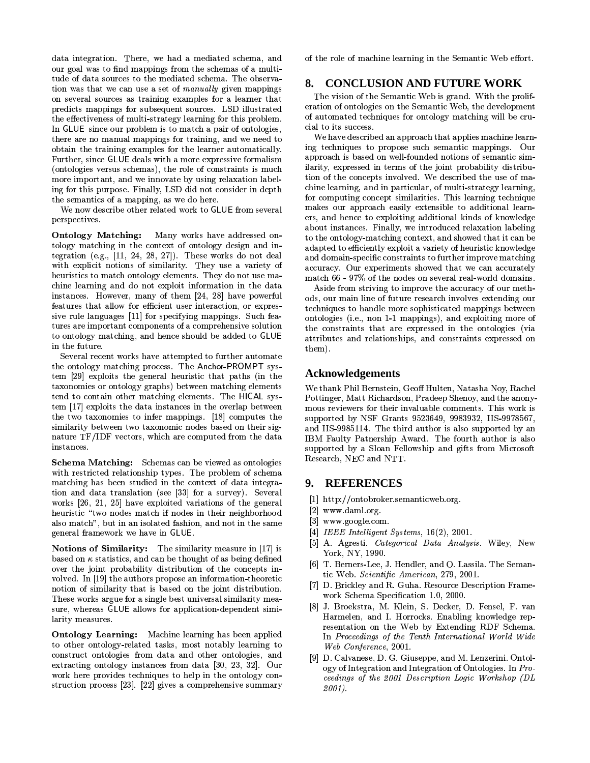data integration. There, we had a mediated schema, and our goal was to find mappings from the schemas of a multitude of data sources to the mediated schema. The observation was that we can use a set of manually given mappings on several sources as training examples for a learner that predicts mappings for subsequent sources. LSD illustrated the effectiveness of multi-strategy learning for this problem. In GLUE since our problem is to match a pair of ontologies, there are no manual mappings for training, and we need to obtain the training examples for the learner automatically. Further, since GLUE deals with a more expressive formalism (ontologies versus schemas), the role of constraints is much more important, and we innovate by using relaxation labeling for this purpose. Finally, LSD did not consider in depth the semantics of a mapping, as we do here.

We now describe other related work to GLUE from several perspectives.

Many works have addressed on-Ontology Matching: tology matching in the context of ontology design and integration (e.g.,  $[11, 24, 28, 27]$ ). These works do not deal with explicit notions of similarity. They use a variety of heuristics to match ontology elements. They do not use machine learning and do not exploit information in the data instances. However, many of them [24, 28] have powerful features that allow for efficient user interaction, or expressive rule languages [11] for specifying mappings. Such features are important components of a comprehensive solution to ontology matching, and hence should be added to GLUE in the future.

Several recent works have attempted to further automate the ontology matching process. The Anchor-PROMPT system [29] exploits the general heuristic that paths (in the taxonomies or ontology graphs) between matching elements tend to contain other matching elements. The HICAL system [17] exploits the data instances in the overlap between the two taxonomies to infer mappings. [18] computes the similarity between two taxonomic nodes based on their signature TF/IDF vectors, which are computed from the data instances.

Schema Matching: Schemas can be viewed as ontologies with restricted relationship types. The problem of schema matching has been studied in the context of data integration and data translation (see [33] for a survey). Several works [26, 21, 25] have exploited variations of the general heuristic "two nodes match if nodes in their neighborhood also match", but in an isolated fashion, and not in the same general framework we have in GLUE.

Notions of Similarity: The similarity measure in [17] is based on  $\kappa$  statistics, and can be thought of as being defined over the joint probability distribution of the concepts involved. In [19] the authors propose an information-theoretic notion of similarity that is based on the joint distribution. These works argue for a single best universal similarity measure, whereas GLUE allows for application-dependent similarity measures.

Ontology Learning: Machine learning has been applied to other ontology-related tasks, most notably learning to construct ontologies from data and other ontologies, and extracting ontology instances from data [30, 23, 32]. Our work here provides techniques to help in the ontology construction process [23]. [22] gives a comprehensive summary of the role of machine learning in the Semantic Web effort.

#### **CONCLUSION AND FUTURE WORK** 8.

The vision of the Semantic Web is grand. With the proliferation of ontologies on the Semantic Web, the development of automated techniques for ontology matching will be crucial to its success.

We have described an approach that applies machine learning techniques to propose such semantic mappings. Our approach is based on well-founded notions of semantic similarity, expressed in terms of the joint probability distribution of the concepts involved. We described the use of machine learning, and in particular, of multi-strategy learning, for computing concept similarities. This learning technique makes our approach easily extensible to additional learners, and hence to exploiting additional kinds of knowledge about instances. Finally, we introduced relaxation labeling to the ontology-matching context, and showed that it can be adapted to efficiently exploit a variety of heuristic knowledge and domain-specific constraints to further improve matching accuracy. Our experiments showed that we can accurately match 66 - 97% of the nodes on several real-world domains.

Aside from striving to improve the accuracy of our methods, our main line of future research involves extending our techniques to handle more sophisticated mappings between ontologies (i.e., non 1-1 mappings), and exploiting more of the constraints that are expressed in the ontologies (via attributes and relationships, and constraints expressed on them).

### **Acknowledgements**

We thank Phil Bernstein, Geoff Hulten, Natasha Noy, Rachel Pottinger, Matt Richardson, Pradeep Shenoy, and the anonymous reviewers for their invaluable comments. This work is supported by NSF Grants 9523649, 9983932, IIS-9978567, and IIS-9985114. The third author is also supported by an IBM Faulty Patnership Award. The fourth author is also supported by a Sloan Fellowship and gifts from Microsoft Research, NEC and NTT.

#### $9.$ **REFERENCES**

- [1] http://ontobroker.semanticweb.org.
- $\lceil 2 \rceil$ www.daml.org.
- [3] www.google.com.
- [4] IEEE Intelligent Systems,  $16(2)$ ,  $2001$ .
- [5] A. Agresti. Categorical Data Analysis. Wiley, New York, NY, 1990.
- [6] T. Berners-Lee, J. Hendler, and O. Lassila. The Semantic Web. Scientific American, 279, 2001.
- [7] D. Brickley and R. Guha. Resource Description Framework Schema Specification 1.0, 2000.
- [8] J. Broekstra, M. Klein, S. Decker, D. Fensel, F. van Harmelen, and I. Horrocks. Enabling knowledge representation on the Web by Extending RDF Schema. In Proceedings of the Tenth International World Wide Web Conference, 2001.
- [9] D. Calvanese, D. G. Giuseppe, and M. Lenzerini. Ontology of Integration and Integration of Ontologies. In Proceedings of the 2001 Description Logic Workshop (DL 2001).